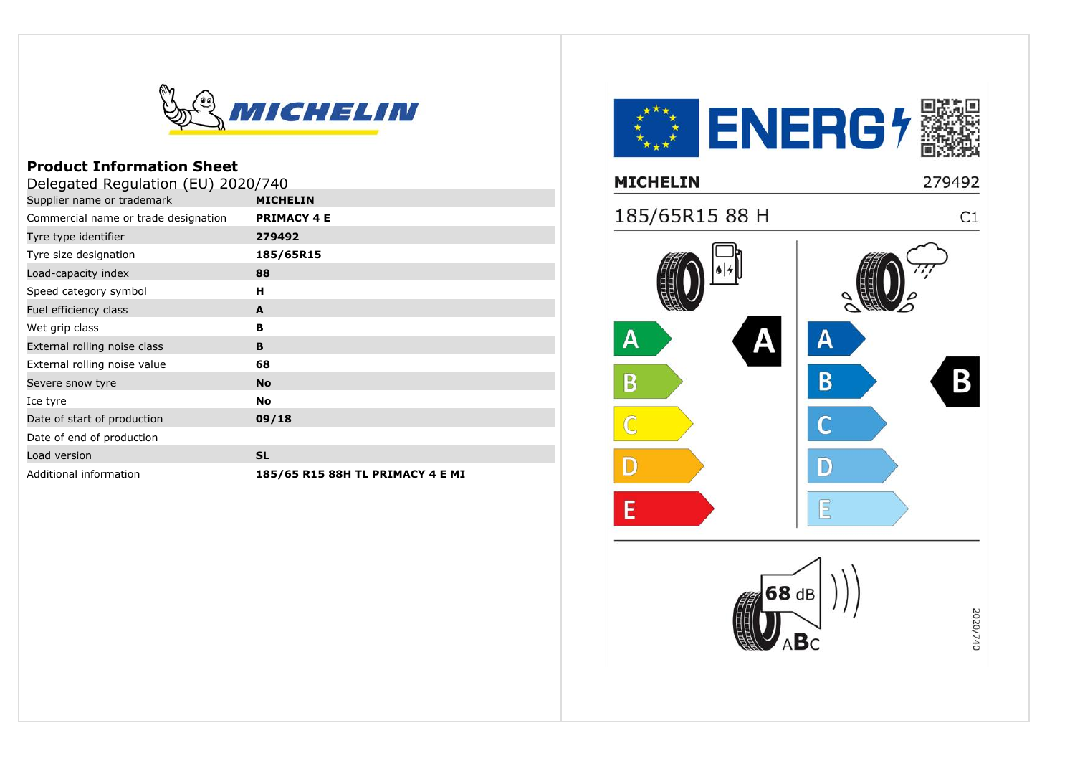

## **Product Information Sheet**

| Delegated Regulation (EU) 2020/740   |                                  |  |
|--------------------------------------|----------------------------------|--|
| Supplier name or trademark           | <b>MICHELIN</b>                  |  |
| Commercial name or trade designation | <b>PRIMACY 4 E</b>               |  |
| Tyre type identifier                 | 279492                           |  |
| Tyre size designation                | 185/65R15                        |  |
| Load-capacity index                  | 88                               |  |
| Speed category symbol                | н                                |  |
| Fuel efficiency class                | A                                |  |
| Wet grip class                       | в                                |  |
| External rolling noise class         | B                                |  |
| External rolling noise value         | 68                               |  |
| Severe snow tyre                     | <b>No</b>                        |  |
| Ice tyre                             | <b>No</b>                        |  |
| Date of start of production          | 09/18                            |  |
| Date of end of production            |                                  |  |
| Load version                         | <b>SL</b>                        |  |
| Additional information               | 185/65 R15 88H TL PRIMACY 4 E MI |  |

**KAN ENERG4** 279492 **MICHELIN** 185/65R15 88 H  $C1$  $\mathsf{A}$ Α B  $\overline{B}$ B  $\overline{C}$  $\mathbb{D}$ D  $E$ E 68 dB 2020/740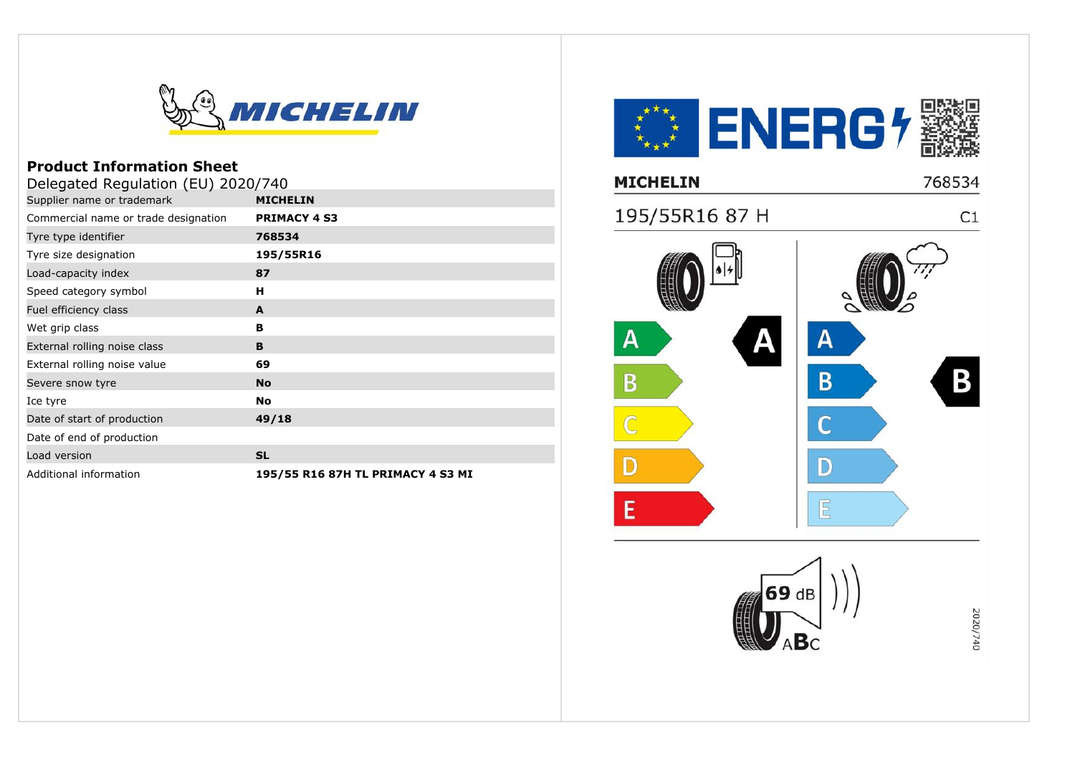

## **Product Information Sheet**

| Delegated Regulation (EU) 2020/740   |                                   |  |
|--------------------------------------|-----------------------------------|--|
| Supplier name or trademark           | <b>MICHELIN</b>                   |  |
| Commercial name or trade designation | <b>PRIMACY 4 S3</b>               |  |
| Tyre type identifier                 | 768534                            |  |
| Tyre size designation                | 195/55R16                         |  |
| Load-capacity index                  | 87                                |  |
| Speed category symbol                | н                                 |  |
| Fuel efficiency class                | A                                 |  |
| Wet grip class                       | в                                 |  |
| External rolling noise class         | B                                 |  |
| External rolling noise value         | 69                                |  |
| Severe snow tyre                     | <b>No</b>                         |  |
| Ice tyre                             | <b>No</b>                         |  |
| Date of start of production          | 49/18                             |  |
| Date of end of production            |                                   |  |
| Load version                         | <b>SL</b>                         |  |
| Additional information               | 195/55 R16 87H TL PRIMACY 4 S3 MI |  |

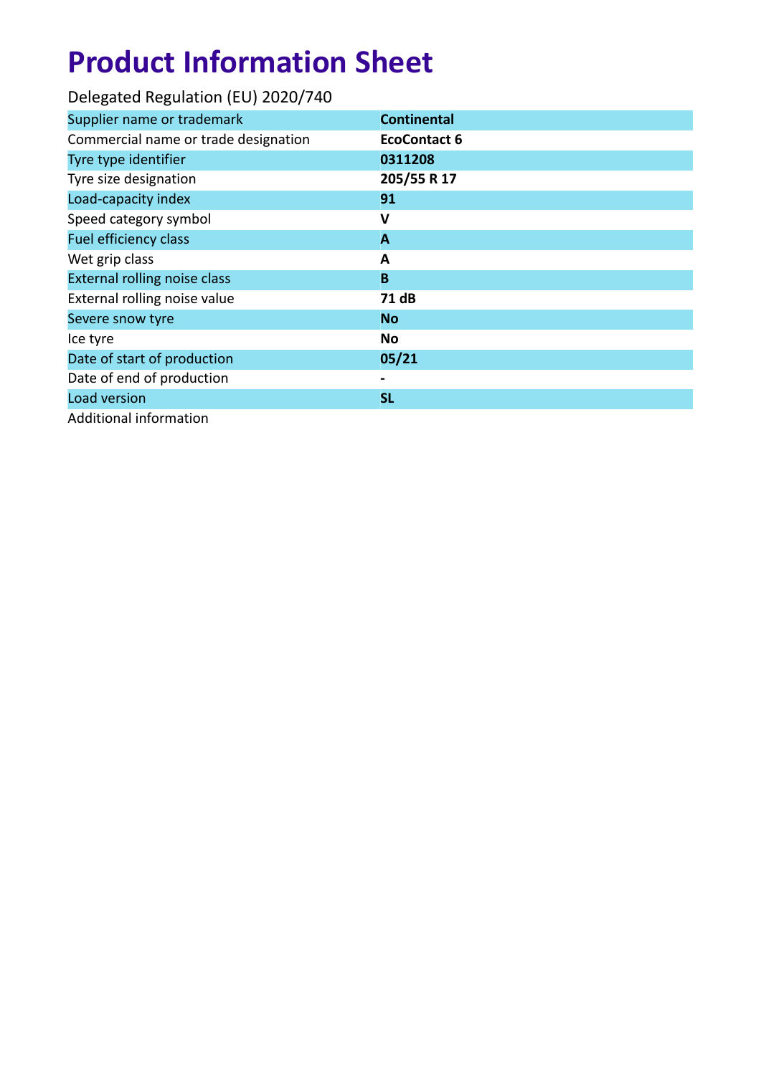# **Product Information Sheet**

| Delegated Regulation (EU) 2020/740   |                     |
|--------------------------------------|---------------------|
| Supplier name or trademark           | <b>Continental</b>  |
| Commercial name or trade designation | <b>EcoContact 6</b> |
| Tyre type identifier                 | 0311208             |
| Tyre size designation                | 205/55 R 17         |
| Load-capacity index                  | 91                  |
| Speed category symbol                | v                   |
| <b>Fuel efficiency class</b>         | $\mathbf{A}$        |
| Wet grip class                       | A                   |
| <b>External rolling noise class</b>  | B                   |
| External rolling noise value         | 71 dB               |
| Severe snow tyre                     | <b>No</b>           |
| Ice tyre                             | No                  |
| Date of start of production          | 05/21               |
| Date of end of production            |                     |
| Load version                         | <b>SL</b>           |
| <b>Additional information</b>        |                     |